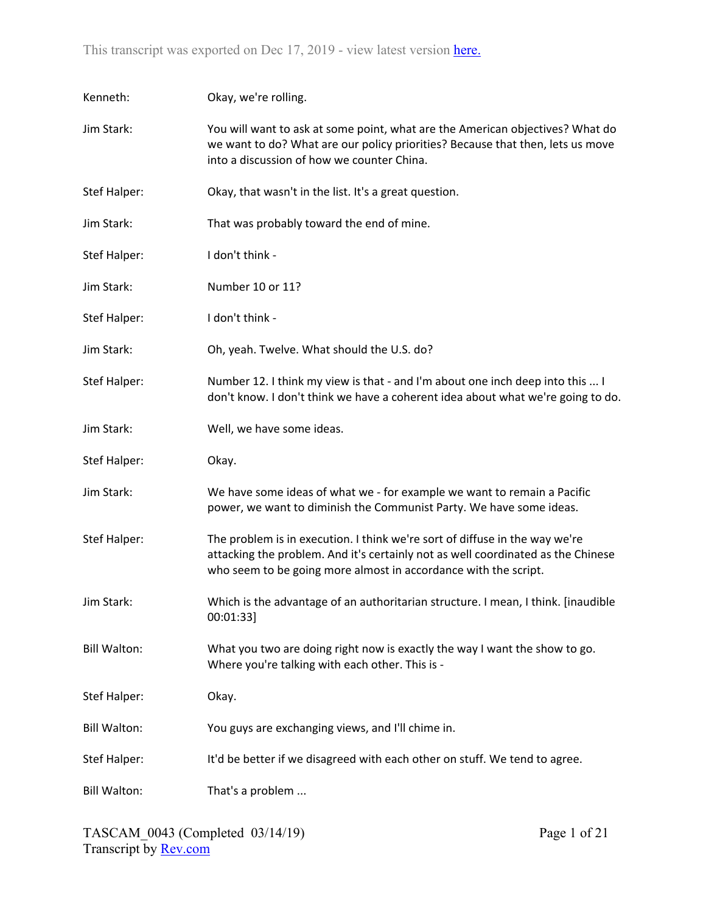| Kenneth:            | Okay, we're rolling.                                                                                                                                                                                                               |
|---------------------|------------------------------------------------------------------------------------------------------------------------------------------------------------------------------------------------------------------------------------|
| Jim Stark:          | You will want to ask at some point, what are the American objectives? What do<br>we want to do? What are our policy priorities? Because that then, lets us move<br>into a discussion of how we counter China.                      |
| Stef Halper:        | Okay, that wasn't in the list. It's a great question.                                                                                                                                                                              |
| Jim Stark:          | That was probably toward the end of mine.                                                                                                                                                                                          |
| Stef Halper:        | I don't think -                                                                                                                                                                                                                    |
| Jim Stark:          | Number 10 or 11?                                                                                                                                                                                                                   |
| Stef Halper:        | I don't think -                                                                                                                                                                                                                    |
| Jim Stark:          | Oh, yeah. Twelve. What should the U.S. do?                                                                                                                                                                                         |
| Stef Halper:        | Number 12. I think my view is that - and I'm about one inch deep into this  I<br>don't know. I don't think we have a coherent idea about what we're going to do.                                                                   |
| Jim Stark:          | Well, we have some ideas.                                                                                                                                                                                                          |
| Stef Halper:        | Okay.                                                                                                                                                                                                                              |
| Jim Stark:          | We have some ideas of what we - for example we want to remain a Pacific<br>power, we want to diminish the Communist Party. We have some ideas.                                                                                     |
| <b>Stef Halper:</b> | The problem is in execution. I think we're sort of diffuse in the way we're<br>attacking the problem. And it's certainly not as well coordinated as the Chinese<br>who seem to be going more almost in accordance with the script. |
| Jim Stark:          | Which is the advantage of an authoritarian structure. I mean, I think. [inaudible<br>00:01:33]                                                                                                                                     |
| <b>Bill Walton:</b> | What you two are doing right now is exactly the way I want the show to go.<br>Where you're talking with each other. This is -                                                                                                      |
| <b>Stef Halper:</b> | Okay.                                                                                                                                                                                                                              |
| <b>Bill Walton:</b> | You guys are exchanging views, and I'll chime in.                                                                                                                                                                                  |
| Stef Halper:        | It'd be better if we disagreed with each other on stuff. We tend to agree.                                                                                                                                                         |
| <b>Bill Walton:</b> | That's a problem                                                                                                                                                                                                                   |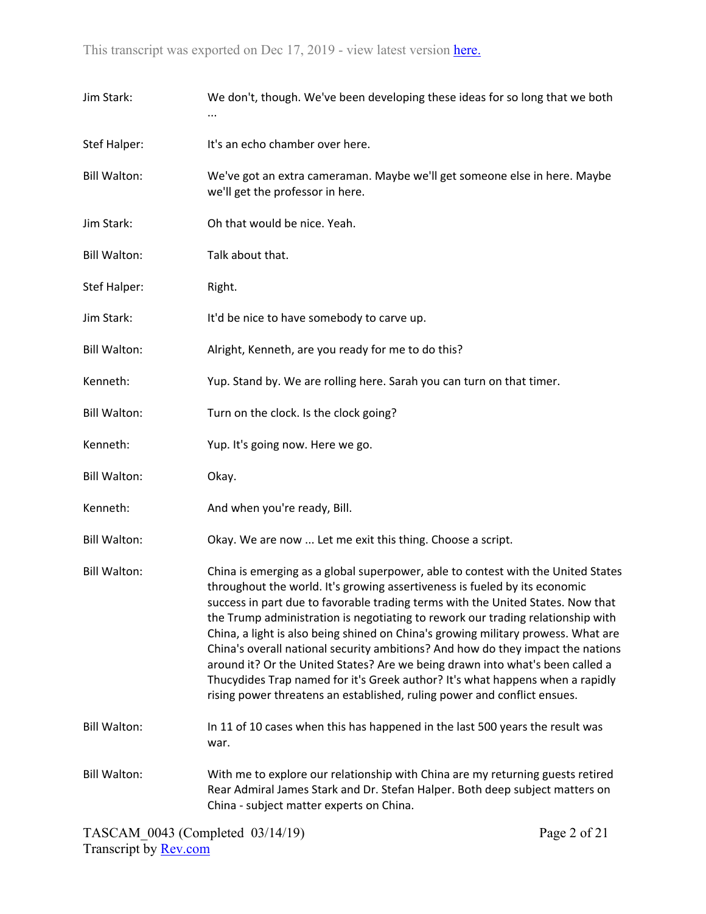| Jim Stark:          | We don't, though. We've been developing these ideas for so long that we both                                                                                                                                                                                                                                                                                                                                                                                                                                                                                                                                                                                                                                                                               |
|---------------------|------------------------------------------------------------------------------------------------------------------------------------------------------------------------------------------------------------------------------------------------------------------------------------------------------------------------------------------------------------------------------------------------------------------------------------------------------------------------------------------------------------------------------------------------------------------------------------------------------------------------------------------------------------------------------------------------------------------------------------------------------------|
| <b>Stef Halper:</b> | It's an echo chamber over here.                                                                                                                                                                                                                                                                                                                                                                                                                                                                                                                                                                                                                                                                                                                            |
| <b>Bill Walton:</b> | We've got an extra cameraman. Maybe we'll get someone else in here. Maybe<br>we'll get the professor in here.                                                                                                                                                                                                                                                                                                                                                                                                                                                                                                                                                                                                                                              |
| Jim Stark:          | Oh that would be nice. Yeah.                                                                                                                                                                                                                                                                                                                                                                                                                                                                                                                                                                                                                                                                                                                               |
| <b>Bill Walton:</b> | Talk about that.                                                                                                                                                                                                                                                                                                                                                                                                                                                                                                                                                                                                                                                                                                                                           |
| Stef Halper:        | Right.                                                                                                                                                                                                                                                                                                                                                                                                                                                                                                                                                                                                                                                                                                                                                     |
| Jim Stark:          | It'd be nice to have somebody to carve up.                                                                                                                                                                                                                                                                                                                                                                                                                                                                                                                                                                                                                                                                                                                 |
| <b>Bill Walton:</b> | Alright, Kenneth, are you ready for me to do this?                                                                                                                                                                                                                                                                                                                                                                                                                                                                                                                                                                                                                                                                                                         |
| Kenneth:            | Yup. Stand by. We are rolling here. Sarah you can turn on that timer.                                                                                                                                                                                                                                                                                                                                                                                                                                                                                                                                                                                                                                                                                      |
| <b>Bill Walton:</b> | Turn on the clock. Is the clock going?                                                                                                                                                                                                                                                                                                                                                                                                                                                                                                                                                                                                                                                                                                                     |
| Kenneth:            | Yup. It's going now. Here we go.                                                                                                                                                                                                                                                                                                                                                                                                                                                                                                                                                                                                                                                                                                                           |
| <b>Bill Walton:</b> | Okay.                                                                                                                                                                                                                                                                                                                                                                                                                                                                                                                                                                                                                                                                                                                                                      |
| Kenneth:            | And when you're ready, Bill.                                                                                                                                                                                                                                                                                                                                                                                                                                                                                                                                                                                                                                                                                                                               |
| <b>Bill Walton:</b> | Okay. We are now  Let me exit this thing. Choose a script.                                                                                                                                                                                                                                                                                                                                                                                                                                                                                                                                                                                                                                                                                                 |
| <b>Bill Walton:</b> | China is emerging as a global superpower, able to contest with the United States<br>throughout the world. It's growing assertiveness is fueled by its economic<br>success in part due to favorable trading terms with the United States. Now that<br>the Trump administration is negotiating to rework our trading relationship with<br>China, a light is also being shined on China's growing military prowess. What are<br>China's overall national security ambitions? And how do they impact the nations<br>around it? Or the United States? Are we being drawn into what's been called a<br>Thucydides Trap named for it's Greek author? It's what happens when a rapidly<br>rising power threatens an established, ruling power and conflict ensues. |
| <b>Bill Walton:</b> | In 11 of 10 cases when this has happened in the last 500 years the result was<br>war.                                                                                                                                                                                                                                                                                                                                                                                                                                                                                                                                                                                                                                                                      |
| <b>Bill Walton:</b> | With me to explore our relationship with China are my returning guests retired<br>Rear Admiral James Stark and Dr. Stefan Halper. Both deep subject matters on<br>China - subject matter experts on China.                                                                                                                                                                                                                                                                                                                                                                                                                                                                                                                                                 |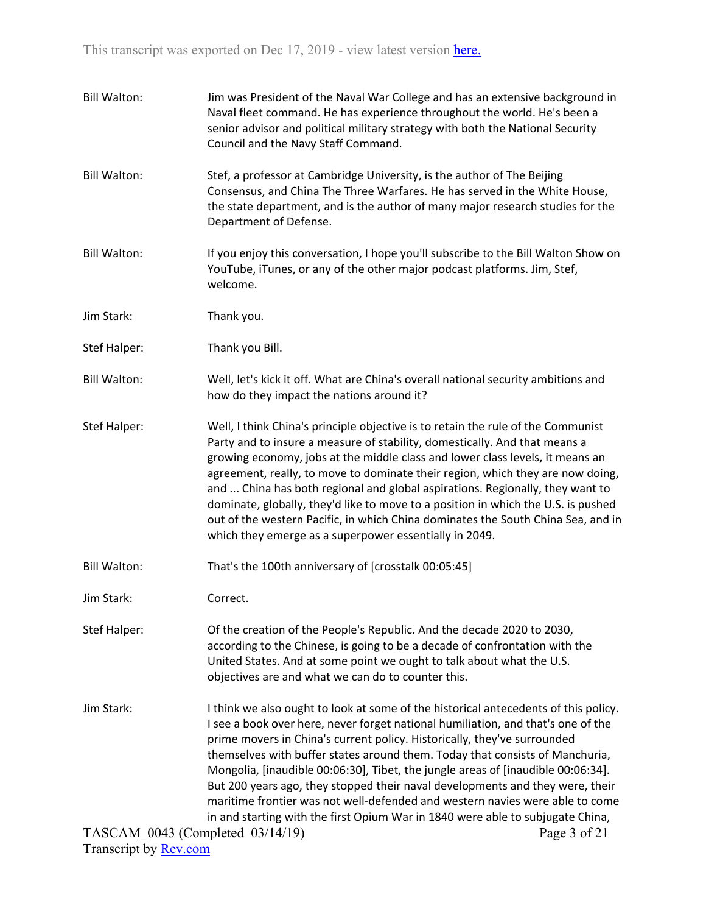| <b>Bill Walton:</b>                            | Jim was President of the Naval War College and has an extensive background in<br>Naval fleet command. He has experience throughout the world. He's been a<br>senior advisor and political military strategy with both the National Security<br>Council and the Navy Staff Command.                                                                                                                                                                                                                                                                                                                                                                                                         |
|------------------------------------------------|--------------------------------------------------------------------------------------------------------------------------------------------------------------------------------------------------------------------------------------------------------------------------------------------------------------------------------------------------------------------------------------------------------------------------------------------------------------------------------------------------------------------------------------------------------------------------------------------------------------------------------------------------------------------------------------------|
| <b>Bill Walton:</b>                            | Stef, a professor at Cambridge University, is the author of The Beijing<br>Consensus, and China The Three Warfares. He has served in the White House,<br>the state department, and is the author of many major research studies for the<br>Department of Defense.                                                                                                                                                                                                                                                                                                                                                                                                                          |
| <b>Bill Walton:</b>                            | If you enjoy this conversation, I hope you'll subscribe to the Bill Walton Show on<br>YouTube, iTunes, or any of the other major podcast platforms. Jim, Stef,<br>welcome.                                                                                                                                                                                                                                                                                                                                                                                                                                                                                                                 |
| Jim Stark:                                     | Thank you.                                                                                                                                                                                                                                                                                                                                                                                                                                                                                                                                                                                                                                                                                 |
| Stef Halper:                                   | Thank you Bill.                                                                                                                                                                                                                                                                                                                                                                                                                                                                                                                                                                                                                                                                            |
| <b>Bill Walton:</b>                            | Well, let's kick it off. What are China's overall national security ambitions and<br>how do they impact the nations around it?                                                                                                                                                                                                                                                                                                                                                                                                                                                                                                                                                             |
| Stef Halper:                                   | Well, I think China's principle objective is to retain the rule of the Communist<br>Party and to insure a measure of stability, domestically. And that means a<br>growing economy, jobs at the middle class and lower class levels, it means an<br>agreement, really, to move to dominate their region, which they are now doing,<br>and  China has both regional and global aspirations. Regionally, they want to<br>dominate, globally, they'd like to move to a position in which the U.S. is pushed<br>out of the western Pacific, in which China dominates the South China Sea, and in<br>which they emerge as a superpower essentially in 2049.                                      |
| <b>Bill Walton:</b>                            | That's the 100th anniversary of [crosstalk 00:05:45]                                                                                                                                                                                                                                                                                                                                                                                                                                                                                                                                                                                                                                       |
| Jim Stark:                                     | Correct.                                                                                                                                                                                                                                                                                                                                                                                                                                                                                                                                                                                                                                                                                   |
| <b>Stef Halper:</b>                            | Of the creation of the People's Republic. And the decade 2020 to 2030,<br>according to the Chinese, is going to be a decade of confrontation with the<br>United States. And at some point we ought to talk about what the U.S.<br>objectives are and what we can do to counter this.                                                                                                                                                                                                                                                                                                                                                                                                       |
| Jim Stark:<br>TASCAM_0043 (Completed 03/14/19) | I think we also ought to look at some of the historical antecedents of this policy.<br>I see a book over here, never forget national humiliation, and that's one of the<br>prime movers in China's current policy. Historically, they've surrounded<br>themselves with buffer states around them. Today that consists of Manchuria,<br>Mongolia, [inaudible 00:06:30], Tibet, the jungle areas of [inaudible 00:06:34].<br>But 200 years ago, they stopped their naval developments and they were, their<br>maritime frontier was not well-defended and western navies were able to come<br>in and starting with the first Opium War in 1840 were able to subjugate China,<br>Page 3 of 21 |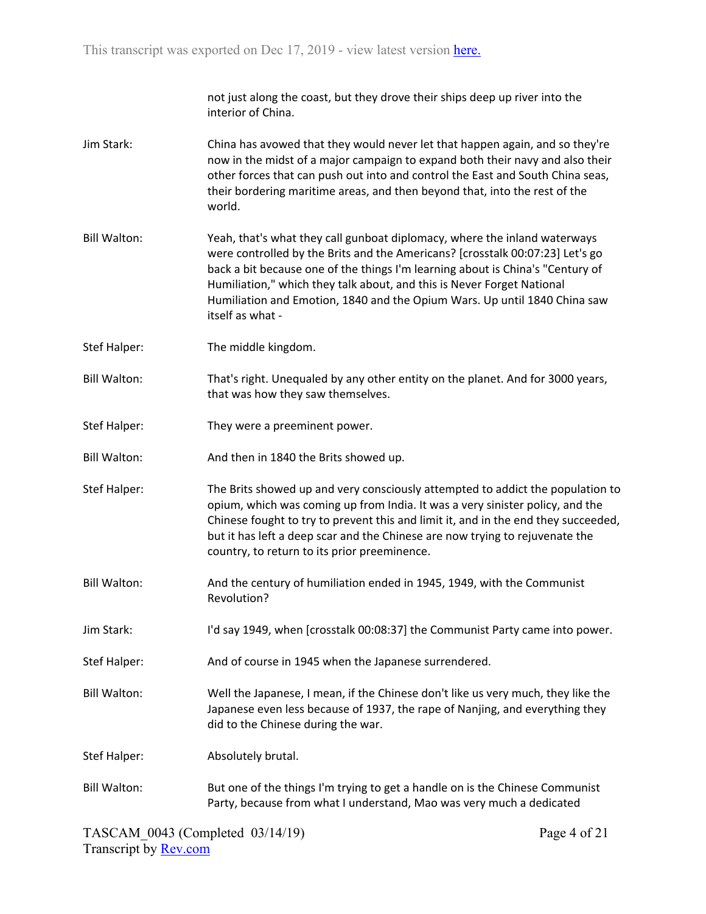not just along the coast, but they drove their ships deep up river into the interior of China.

- Jim Stark: China has avowed that they would never let that happen again, and so they're now in the midst of a major campaign to expand both their navy and also their other forces that can push out into and control the East and South China seas, their bordering maritime areas, and then beyond that, into the rest of the world.
- Bill Walton: Yeah, that's what they call gunboat diplomacy, where the inland waterways were controlled by the Brits and the Americans? [crosstalk 00:07:23] Let's go back a bit because one of the things I'm learning about is China's "Century of Humiliation," which they talk about, and this is Never Forget National Humiliation and Emotion, 1840 and the Opium Wars. Up until 1840 China saw itself as what -
- Stef Halper: The middle kingdom.
- Bill Walton: That's right. Unequaled by any other entity on the planet. And for 3000 years, that was how they saw themselves.
- Stef Halper: They were a preeminent power.
- Bill Walton: And then in 1840 the Brits showed up.
- Stef Halper: The Brits showed up and very consciously attempted to addict the population to opium, which was coming up from India. It was a very sinister policy, and the Chinese fought to try to prevent this and limit it, and in the end they succeeded, but it has left a deep scar and the Chinese are now trying to rejuvenate the country, to return to its prior preeminence.
- Bill Walton: And the century of humiliation ended in 1945, 1949, with the Communist Revolution?
- Jim Stark: I'd say 1949, when [crosstalk 00:08:37] the Communist Party came into power.
- Stef Halper: And of course in 1945 when the Japanese surrendered.
- Bill Walton: Well the Japanese, I mean, if the Chinese don't like us very much, they like the Japanese even less because of 1937, the rape of Nanjing, and everything they did to the Chinese during the war.
- Stef Halper: Absolutely brutal.
- Bill Walton: But one of the things I'm trying to get a handle on is the Chinese Communist Party, because from what I understand, Mao was very much a dedicated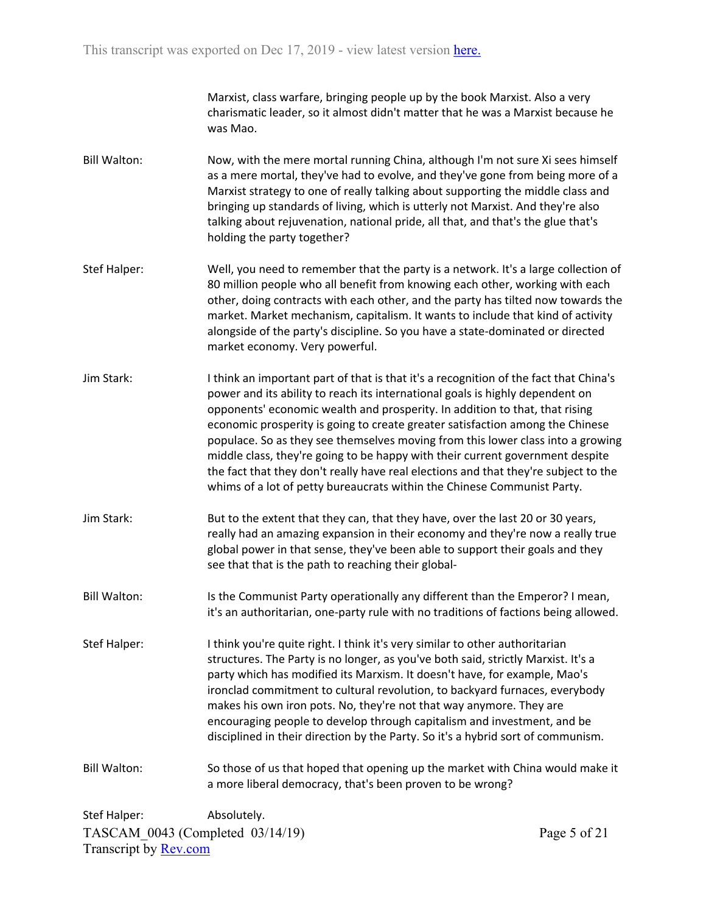Marxist, class warfare, bringing people up by the book Marxist. Also a very charismatic leader, so it almost didn't matter that he was a Marxist because he was Mao.

- Bill Walton: Now, with the mere mortal running China, although I'm not sure Xi sees himself as a mere mortal, they've had to evolve, and they've gone from being more of a Marxist strategy to one of really talking about supporting the middle class and bringing up standards of living, which is utterly not Marxist. And they're also talking about rejuvenation, national pride, all that, and that's the glue that's holding the party together?
- Stef Halper: Well, you need to remember that the party is a network. It's a large collection of 80 million people who all benefit from knowing each other, working with each other, doing contracts with each other, and the party has tilted now towards the market. Market mechanism, capitalism. It wants to include that kind of activity alongside of the party's discipline. So you have a state-dominated or directed market economy. Very powerful.
- Jim Stark: I think an important part of that is that it's a recognition of the fact that China's power and its ability to reach its international goals is highly dependent on opponents' economic wealth and prosperity. In addition to that, that rising economic prosperity is going to create greater satisfaction among the Chinese populace. So as they see themselves moving from this lower class into a growing middle class, they're going to be happy with their current government despite the fact that they don't really have real elections and that they're subject to the whims of a lot of petty bureaucrats within the Chinese Communist Party.
- Jim Stark: But to the extent that they can, that they have, over the last 20 or 30 years, really had an amazing expansion in their economy and they're now a really true global power in that sense, they've been able to support their goals and they see that that is the path to reaching their global-
- Bill Walton: Is the Communist Party operationally any different than the Emperor? I mean, it's an authoritarian, one-party rule with no traditions of factions being allowed.
- Stef Halper: I think you're quite right. I think it's very similar to other authoritarian structures. The Party is no longer, as you've both said, strictly Marxist. It's a party which has modified its Marxism. It doesn't have, for example, Mao's ironclad commitment to cultural revolution, to backyard furnaces, everybody makes his own iron pots. No, they're not that way anymore. They are encouraging people to develop through capitalism and investment, and be disciplined in their direction by the Party. So it's a hybrid sort of communism.

Bill Walton: So those of us that hoped that opening up the market with China would make it a more liberal democracy, that's been proven to be wrong?

TASCAM\_0043 (Completed 03/14/19) Transcript by [Rev.com](https://www.rev.com/) Stef Halper: Absolutely.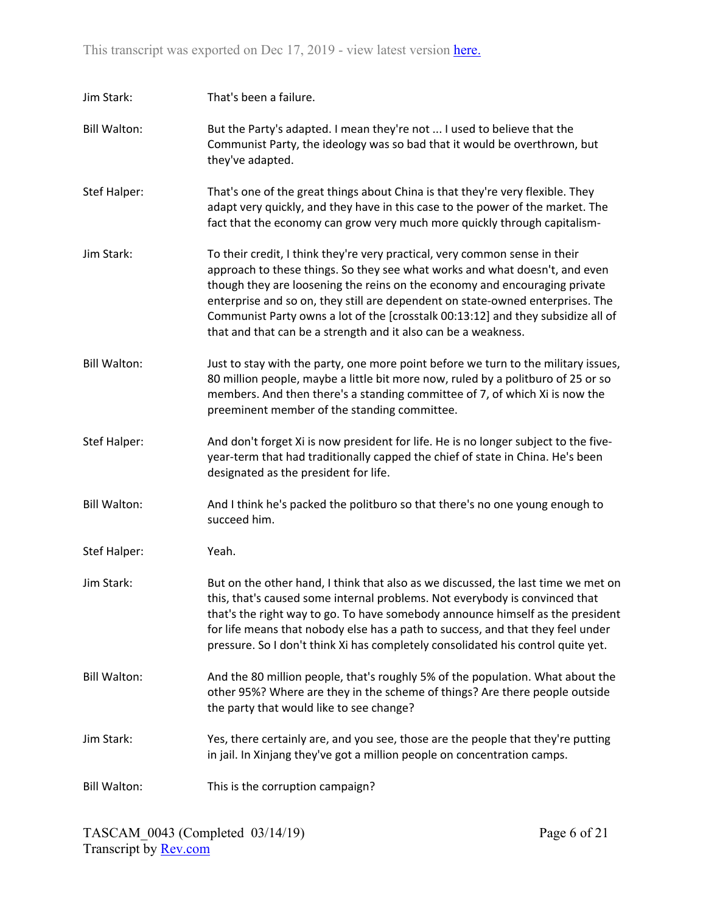| Jim Stark:          | That's been a failure.                                                                                                                                                                                                                                                                                                                                                                                                                                                           |
|---------------------|----------------------------------------------------------------------------------------------------------------------------------------------------------------------------------------------------------------------------------------------------------------------------------------------------------------------------------------------------------------------------------------------------------------------------------------------------------------------------------|
| <b>Bill Walton:</b> | But the Party's adapted. I mean they're not  I used to believe that the<br>Communist Party, the ideology was so bad that it would be overthrown, but<br>they've adapted.                                                                                                                                                                                                                                                                                                         |
| Stef Halper:        | That's one of the great things about China is that they're very flexible. They<br>adapt very quickly, and they have in this case to the power of the market. The<br>fact that the economy can grow very much more quickly through capitalism-                                                                                                                                                                                                                                    |
| Jim Stark:          | To their credit, I think they're very practical, very common sense in their<br>approach to these things. So they see what works and what doesn't, and even<br>though they are loosening the reins on the economy and encouraging private<br>enterprise and so on, they still are dependent on state-owned enterprises. The<br>Communist Party owns a lot of the [crosstalk 00:13:12] and they subsidize all of<br>that and that can be a strength and it also can be a weakness. |
| <b>Bill Walton:</b> | Just to stay with the party, one more point before we turn to the military issues,<br>80 million people, maybe a little bit more now, ruled by a politburo of 25 or so<br>members. And then there's a standing committee of 7, of which Xi is now the<br>preeminent member of the standing committee.                                                                                                                                                                            |
| <b>Stef Halper:</b> | And don't forget Xi is now president for life. He is no longer subject to the five-<br>year-term that had traditionally capped the chief of state in China. He's been<br>designated as the president for life.                                                                                                                                                                                                                                                                   |
| <b>Bill Walton:</b> | And I think he's packed the politburo so that there's no one young enough to<br>succeed him.                                                                                                                                                                                                                                                                                                                                                                                     |
| <b>Stef Halper:</b> | Yeah.                                                                                                                                                                                                                                                                                                                                                                                                                                                                            |
| Jim Stark:          | But on the other hand, I think that also as we discussed, the last time we met on<br>this, that's caused some internal problems. Not everybody is convinced that<br>that's the right way to go. To have somebody announce himself as the president<br>for life means that nobody else has a path to success, and that they feel under<br>pressure. So I don't think Xi has completely consolidated his control quite yet.                                                        |
| <b>Bill Walton:</b> | And the 80 million people, that's roughly 5% of the population. What about the<br>other 95%? Where are they in the scheme of things? Are there people outside<br>the party that would like to see change?                                                                                                                                                                                                                                                                        |
| Jim Stark:          | Yes, there certainly are, and you see, those are the people that they're putting<br>in jail. In Xinjang they've got a million people on concentration camps.                                                                                                                                                                                                                                                                                                                     |
| <b>Bill Walton:</b> | This is the corruption campaign?                                                                                                                                                                                                                                                                                                                                                                                                                                                 |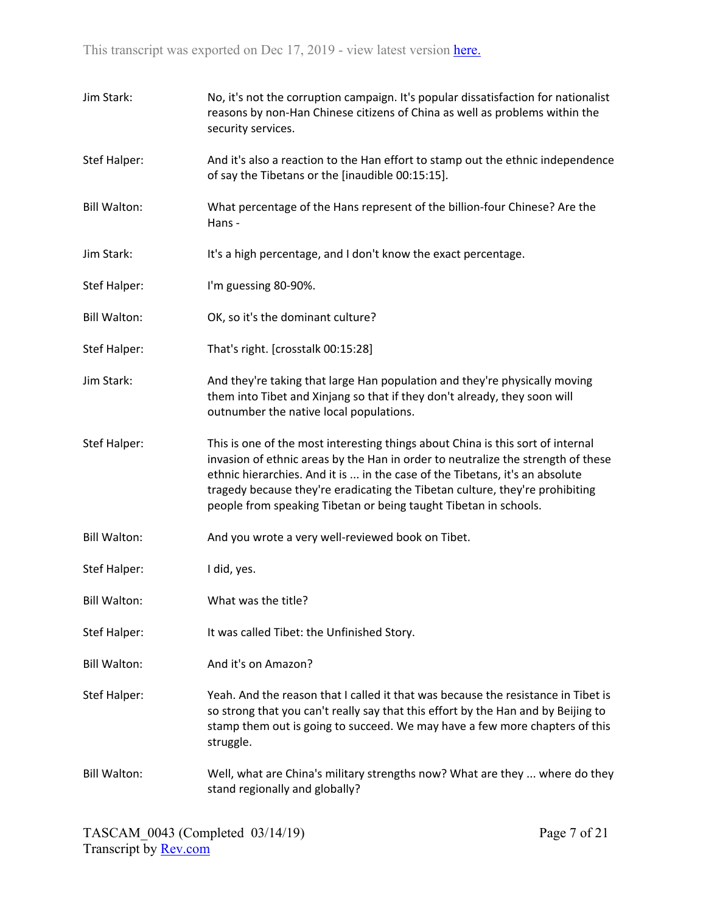| Jim Stark:          | No, it's not the corruption campaign. It's popular dissatisfaction for nationalist<br>reasons by non-Han Chinese citizens of China as well as problems within the<br>security services.                                                                                                                                                                                                                 |
|---------------------|---------------------------------------------------------------------------------------------------------------------------------------------------------------------------------------------------------------------------------------------------------------------------------------------------------------------------------------------------------------------------------------------------------|
| <b>Stef Halper:</b> | And it's also a reaction to the Han effort to stamp out the ethnic independence<br>of say the Tibetans or the [inaudible 00:15:15].                                                                                                                                                                                                                                                                     |
| <b>Bill Walton:</b> | What percentage of the Hans represent of the billion-four Chinese? Are the<br>Hans -                                                                                                                                                                                                                                                                                                                    |
| Jim Stark:          | It's a high percentage, and I don't know the exact percentage.                                                                                                                                                                                                                                                                                                                                          |
| <b>Stef Halper:</b> | I'm guessing 80-90%.                                                                                                                                                                                                                                                                                                                                                                                    |
| <b>Bill Walton:</b> | OK, so it's the dominant culture?                                                                                                                                                                                                                                                                                                                                                                       |
| <b>Stef Halper:</b> | That's right. [crosstalk 00:15:28]                                                                                                                                                                                                                                                                                                                                                                      |
| Jim Stark:          | And they're taking that large Han population and they're physically moving<br>them into Tibet and Xinjang so that if they don't already, they soon will<br>outnumber the native local populations.                                                                                                                                                                                                      |
| <b>Stef Halper:</b> | This is one of the most interesting things about China is this sort of internal<br>invasion of ethnic areas by the Han in order to neutralize the strength of these<br>ethnic hierarchies. And it is  in the case of the Tibetans, it's an absolute<br>tragedy because they're eradicating the Tibetan culture, they're prohibiting<br>people from speaking Tibetan or being taught Tibetan in schools. |
| <b>Bill Walton:</b> | And you wrote a very well-reviewed book on Tibet.                                                                                                                                                                                                                                                                                                                                                       |
| <b>Stef Halper:</b> | I did, yes.                                                                                                                                                                                                                                                                                                                                                                                             |
| <b>Bill Walton:</b> | What was the title?                                                                                                                                                                                                                                                                                                                                                                                     |
| <b>Stef Halper:</b> | It was called Tibet: the Unfinished Story.                                                                                                                                                                                                                                                                                                                                                              |
| <b>Bill Walton:</b> | And it's on Amazon?                                                                                                                                                                                                                                                                                                                                                                                     |
| <b>Stef Halper:</b> | Yeah. And the reason that I called it that was because the resistance in Tibet is<br>so strong that you can't really say that this effort by the Han and by Beijing to<br>stamp them out is going to succeed. We may have a few more chapters of this<br>struggle.                                                                                                                                      |
| <b>Bill Walton:</b> | Well, what are China's military strengths now? What are they  where do they<br>stand regionally and globally?                                                                                                                                                                                                                                                                                           |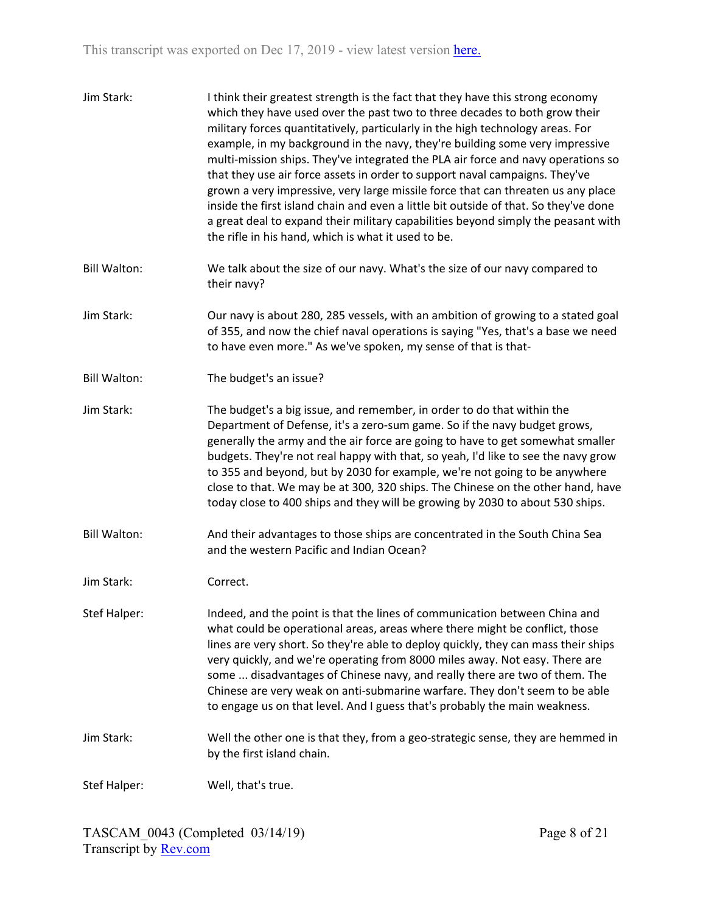| Jim Stark:          | I think their greatest strength is the fact that they have this strong economy<br>which they have used over the past two to three decades to both grow their<br>military forces quantitatively, particularly in the high technology areas. For<br>example, in my background in the navy, they're building some very impressive<br>multi-mission ships. They've integrated the PLA air force and navy operations so<br>that they use air force assets in order to support naval campaigns. They've<br>grown a very impressive, very large missile force that can threaten us any place<br>inside the first island chain and even a little bit outside of that. So they've done<br>a great deal to expand their military capabilities beyond simply the peasant with<br>the rifle in his hand, which is what it used to be. |
|---------------------|---------------------------------------------------------------------------------------------------------------------------------------------------------------------------------------------------------------------------------------------------------------------------------------------------------------------------------------------------------------------------------------------------------------------------------------------------------------------------------------------------------------------------------------------------------------------------------------------------------------------------------------------------------------------------------------------------------------------------------------------------------------------------------------------------------------------------|
| <b>Bill Walton:</b> | We talk about the size of our navy. What's the size of our navy compared to<br>their navy?                                                                                                                                                                                                                                                                                                                                                                                                                                                                                                                                                                                                                                                                                                                                |
| Jim Stark:          | Our navy is about 280, 285 vessels, with an ambition of growing to a stated goal<br>of 355, and now the chief naval operations is saying "Yes, that's a base we need<br>to have even more." As we've spoken, my sense of that is that-                                                                                                                                                                                                                                                                                                                                                                                                                                                                                                                                                                                    |
| <b>Bill Walton:</b> | The budget's an issue?                                                                                                                                                                                                                                                                                                                                                                                                                                                                                                                                                                                                                                                                                                                                                                                                    |
| Jim Stark:          | The budget's a big issue, and remember, in order to do that within the<br>Department of Defense, it's a zero-sum game. So if the navy budget grows,<br>generally the army and the air force are going to have to get somewhat smaller<br>budgets. They're not real happy with that, so yeah, I'd like to see the navy grow<br>to 355 and beyond, but by 2030 for example, we're not going to be anywhere<br>close to that. We may be at 300, 320 ships. The Chinese on the other hand, have<br>today close to 400 ships and they will be growing by 2030 to about 530 ships.                                                                                                                                                                                                                                              |
| <b>Bill Walton:</b> | And their advantages to those ships are concentrated in the South China Sea<br>and the western Pacific and Indian Ocean?                                                                                                                                                                                                                                                                                                                                                                                                                                                                                                                                                                                                                                                                                                  |
| Jim Stark:          | Correct.                                                                                                                                                                                                                                                                                                                                                                                                                                                                                                                                                                                                                                                                                                                                                                                                                  |
| Stef Halper:        | Indeed, and the point is that the lines of communication between China and<br>what could be operational areas, areas where there might be conflict, those<br>lines are very short. So they're able to deploy quickly, they can mass their ships<br>very quickly, and we're operating from 8000 miles away. Not easy. There are<br>some  disadvantages of Chinese navy, and really there are two of them. The<br>Chinese are very weak on anti-submarine warfare. They don't seem to be able<br>to engage us on that level. And I guess that's probably the main weakness.                                                                                                                                                                                                                                                 |
| Jim Stark:          | Well the other one is that they, from a geo-strategic sense, they are hemmed in<br>by the first island chain.                                                                                                                                                                                                                                                                                                                                                                                                                                                                                                                                                                                                                                                                                                             |
| Stef Halper:        | Well, that's true.                                                                                                                                                                                                                                                                                                                                                                                                                                                                                                                                                                                                                                                                                                                                                                                                        |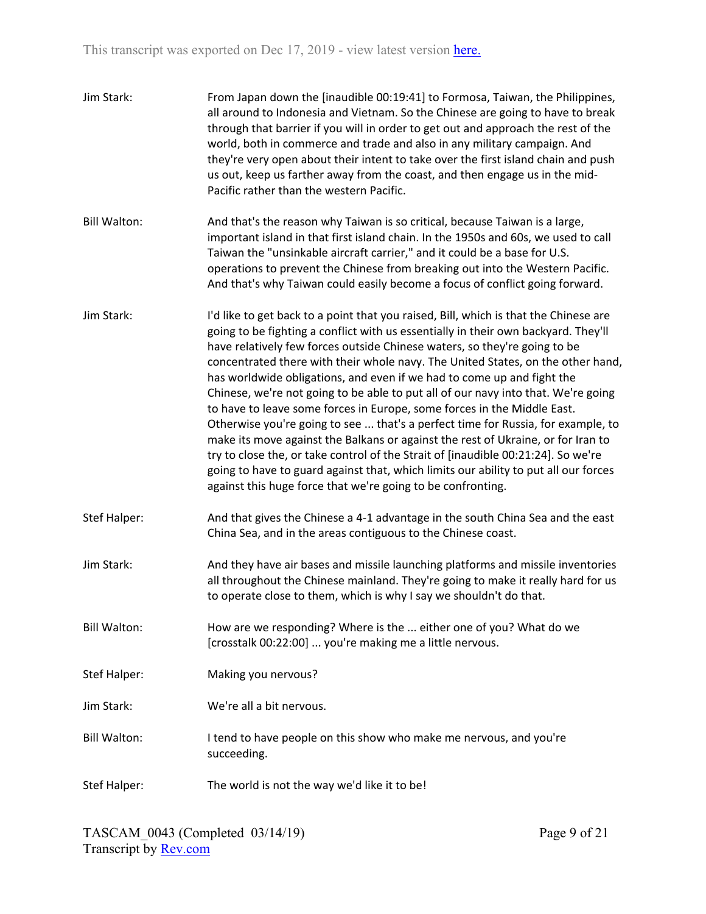| Jim Stark:          | From Japan down the [inaudible 00:19:41] to Formosa, Taiwan, the Philippines,<br>all around to Indonesia and Vietnam. So the Chinese are going to have to break<br>through that barrier if you will in order to get out and approach the rest of the<br>world, both in commerce and trade and also in any military campaign. And<br>they're very open about their intent to take over the first island chain and push<br>us out, keep us farther away from the coast, and then engage us in the mid-<br>Pacific rather than the western Pacific.                                                                                                                                                                                                                                                                                                                                                                                                                                                        |
|---------------------|---------------------------------------------------------------------------------------------------------------------------------------------------------------------------------------------------------------------------------------------------------------------------------------------------------------------------------------------------------------------------------------------------------------------------------------------------------------------------------------------------------------------------------------------------------------------------------------------------------------------------------------------------------------------------------------------------------------------------------------------------------------------------------------------------------------------------------------------------------------------------------------------------------------------------------------------------------------------------------------------------------|
| <b>Bill Walton:</b> | And that's the reason why Taiwan is so critical, because Taiwan is a large,<br>important island in that first island chain. In the 1950s and 60s, we used to call<br>Taiwan the "unsinkable aircraft carrier," and it could be a base for U.S.<br>operations to prevent the Chinese from breaking out into the Western Pacific.<br>And that's why Taiwan could easily become a focus of conflict going forward.                                                                                                                                                                                                                                                                                                                                                                                                                                                                                                                                                                                         |
| Jim Stark:          | I'd like to get back to a point that you raised, Bill, which is that the Chinese are<br>going to be fighting a conflict with us essentially in their own backyard. They'll<br>have relatively few forces outside Chinese waters, so they're going to be<br>concentrated there with their whole navy. The United States, on the other hand,<br>has worldwide obligations, and even if we had to come up and fight the<br>Chinese, we're not going to be able to put all of our navy into that. We're going<br>to have to leave some forces in Europe, some forces in the Middle East.<br>Otherwise you're going to see  that's a perfect time for Russia, for example, to<br>make its move against the Balkans or against the rest of Ukraine, or for Iran to<br>try to close the, or take control of the Strait of [inaudible 00:21:24]. So we're<br>going to have to guard against that, which limits our ability to put all our forces<br>against this huge force that we're going to be confronting. |
| Stef Halper:        | And that gives the Chinese a 4-1 advantage in the south China Sea and the east<br>China Sea, and in the areas contiguous to the Chinese coast.                                                                                                                                                                                                                                                                                                                                                                                                                                                                                                                                                                                                                                                                                                                                                                                                                                                          |
| Jim Stark:          | And they have air bases and missile launching platforms and missile inventories<br>all throughout the Chinese mainland. They're going to make it really hard for us<br>to operate close to them, which is why I say we shouldn't do that.                                                                                                                                                                                                                                                                                                                                                                                                                                                                                                                                                                                                                                                                                                                                                               |
| <b>Bill Walton:</b> | How are we responding? Where is the  either one of you? What do we<br>[crosstalk 00:22:00]  you're making me a little nervous.                                                                                                                                                                                                                                                                                                                                                                                                                                                                                                                                                                                                                                                                                                                                                                                                                                                                          |
| Stef Halper:        | Making you nervous?                                                                                                                                                                                                                                                                                                                                                                                                                                                                                                                                                                                                                                                                                                                                                                                                                                                                                                                                                                                     |
| Jim Stark:          | We're all a bit nervous.                                                                                                                                                                                                                                                                                                                                                                                                                                                                                                                                                                                                                                                                                                                                                                                                                                                                                                                                                                                |
| <b>Bill Walton:</b> | I tend to have people on this show who make me nervous, and you're<br>succeeding.                                                                                                                                                                                                                                                                                                                                                                                                                                                                                                                                                                                                                                                                                                                                                                                                                                                                                                                       |
| Stef Halper:        | The world is not the way we'd like it to be!                                                                                                                                                                                                                                                                                                                                                                                                                                                                                                                                                                                                                                                                                                                                                                                                                                                                                                                                                            |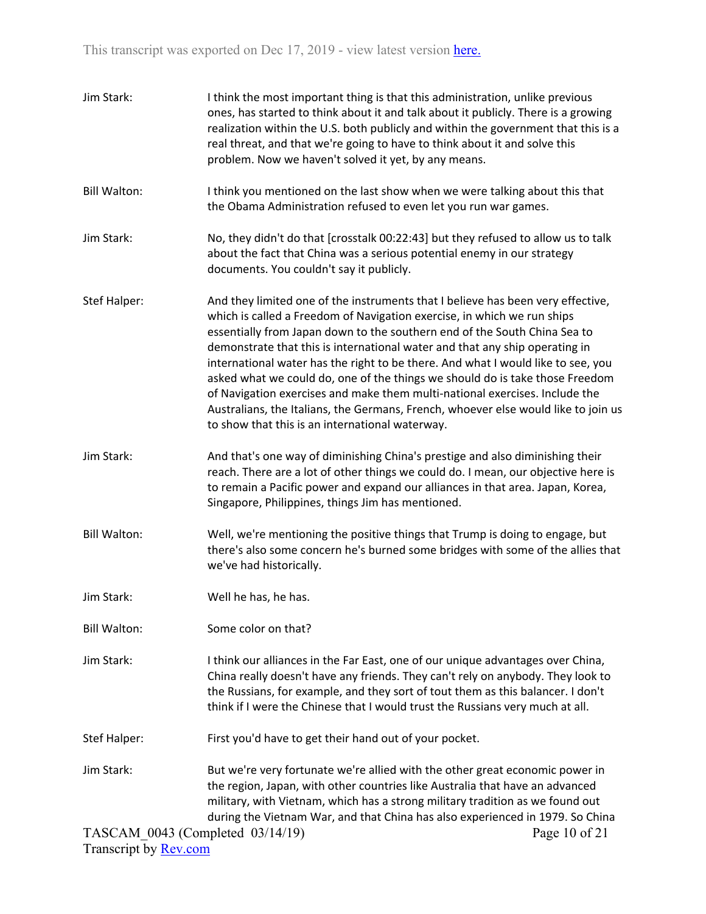| Jim Stark:                       | I think the most important thing is that this administration, unlike previous<br>ones, has started to think about it and talk about it publicly. There is a growing<br>realization within the U.S. both publicly and within the government that this is a<br>real threat, and that we're going to have to think about it and solve this<br>problem. Now we haven't solved it yet, by any means.                                                                                                                                                                                                                                                                                                                    |
|----------------------------------|--------------------------------------------------------------------------------------------------------------------------------------------------------------------------------------------------------------------------------------------------------------------------------------------------------------------------------------------------------------------------------------------------------------------------------------------------------------------------------------------------------------------------------------------------------------------------------------------------------------------------------------------------------------------------------------------------------------------|
| <b>Bill Walton:</b>              | I think you mentioned on the last show when we were talking about this that<br>the Obama Administration refused to even let you run war games.                                                                                                                                                                                                                                                                                                                                                                                                                                                                                                                                                                     |
| Jim Stark:                       | No, they didn't do that [crosstalk 00:22:43] but they refused to allow us to talk<br>about the fact that China was a serious potential enemy in our strategy<br>documents. You couldn't say it publicly.                                                                                                                                                                                                                                                                                                                                                                                                                                                                                                           |
| Stef Halper:                     | And they limited one of the instruments that I believe has been very effective,<br>which is called a Freedom of Navigation exercise, in which we run ships<br>essentially from Japan down to the southern end of the South China Sea to<br>demonstrate that this is international water and that any ship operating in<br>international water has the right to be there. And what I would like to see, you<br>asked what we could do, one of the things we should do is take those Freedom<br>of Navigation exercises and make them multi-national exercises. Include the<br>Australians, the Italians, the Germans, French, whoever else would like to join us<br>to show that this is an international waterway. |
| Jim Stark:                       | And that's one way of diminishing China's prestige and also diminishing their<br>reach. There are a lot of other things we could do. I mean, our objective here is<br>to remain a Pacific power and expand our alliances in that area. Japan, Korea,<br>Singapore, Philippines, things Jim has mentioned.                                                                                                                                                                                                                                                                                                                                                                                                          |
| <b>Bill Walton:</b>              | Well, we're mentioning the positive things that Trump is doing to engage, but<br>there's also some concern he's burned some bridges with some of the allies that<br>we've had historically.                                                                                                                                                                                                                                                                                                                                                                                                                                                                                                                        |
| Jim Stark:                       | Well he has, he has.                                                                                                                                                                                                                                                                                                                                                                                                                                                                                                                                                                                                                                                                                               |
| <b>Bill Walton:</b>              | Some color on that?                                                                                                                                                                                                                                                                                                                                                                                                                                                                                                                                                                                                                                                                                                |
| Jim Stark:                       | I think our alliances in the Far East, one of our unique advantages over China,<br>China really doesn't have any friends. They can't rely on anybody. They look to<br>the Russians, for example, and they sort of tout them as this balancer. I don't<br>think if I were the Chinese that I would trust the Russians very much at all.                                                                                                                                                                                                                                                                                                                                                                             |
| Stef Halper:                     | First you'd have to get their hand out of your pocket.                                                                                                                                                                                                                                                                                                                                                                                                                                                                                                                                                                                                                                                             |
| Jim Stark:                       | But we're very fortunate we're allied with the other great economic power in<br>the region, Japan, with other countries like Australia that have an advanced<br>military, with Vietnam, which has a strong military tradition as we found out<br>during the Vietnam War, and that China has also experienced in 1979. So China                                                                                                                                                                                                                                                                                                                                                                                     |
| TASCAM_0043 (Completed 03/14/19) | Page 10 of 21                                                                                                                                                                                                                                                                                                                                                                                                                                                                                                                                                                                                                                                                                                      |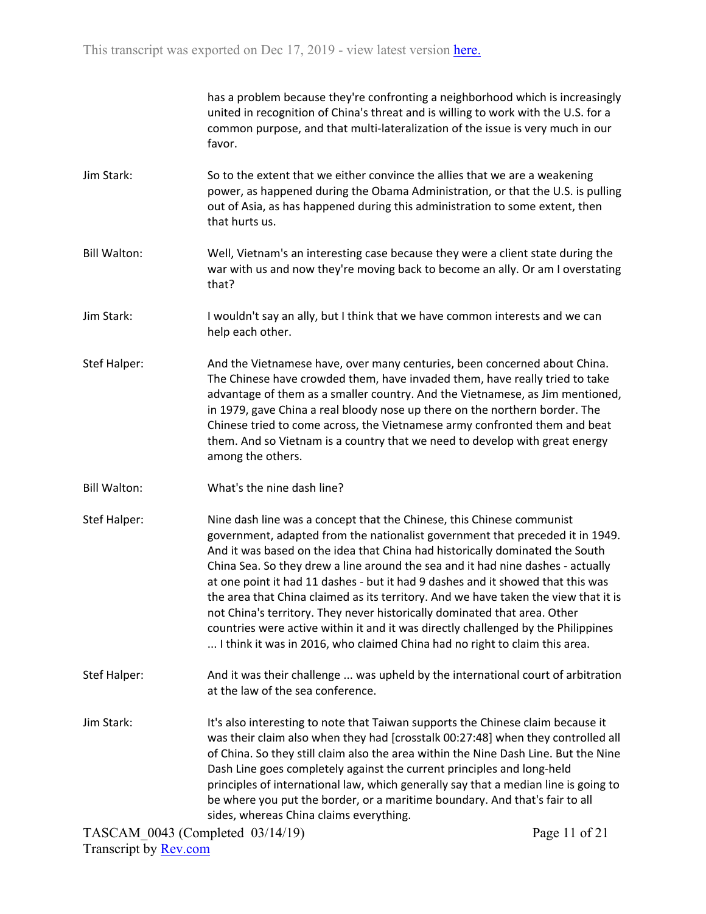has a problem because they're confronting a neighborhood which is increasingly united in recognition of China's threat and is willing to work with the U.S. for a common purpose, and that multi-lateralization of the issue is very much in our favor.

- Jim Stark: So to the extent that we either convince the allies that we are a weakening power, as happened during the Obama Administration, or that the U.S. is pulling out of Asia, as has happened during this administration to some extent, then that hurts us.
- Bill Walton: Well, Vietnam's an interesting case because they were a client state during the war with us and now they're moving back to become an ally. Or am I overstating that?
- Jim Stark: I wouldn't say an ally, but I think that we have common interests and we can help each other.
- Stef Halper: And the Vietnamese have, over many centuries, been concerned about China. The Chinese have crowded them, have invaded them, have really tried to take advantage of them as a smaller country. And the Vietnamese, as Jim mentioned, in 1979, gave China a real bloody nose up there on the northern border. The Chinese tried to come across, the Vietnamese army confronted them and beat them. And so Vietnam is a country that we need to develop with great energy among the others.
- Bill Walton: What's the nine dash line?
- Stef Halper: Nine dash line was a concept that the Chinese, this Chinese communist government, adapted from the nationalist government that preceded it in 1949. And it was based on the idea that China had historically dominated the South China Sea. So they drew a line around the sea and it had nine dashes - actually at one point it had 11 dashes - but it had 9 dashes and it showed that this was the area that China claimed as its territory. And we have taken the view that it is not China's territory. They never historically dominated that area. Other countries were active within it and it was directly challenged by the Philippines ... I think it was in 2016, who claimed China had no right to claim this area.
- Stef Halper: And it was their challenge ... was upheld by the international court of arbitration at the law of the sea conference.
- Jim Stark: It's also interesting to note that Taiwan supports the Chinese claim because it was their claim also when they had [crosstalk 00:27:48] when they controlled all of China. So they still claim also the area within the Nine Dash Line. But the Nine Dash Line goes completely against the current principles and long-held principles of international law, which generally say that a median line is going to be where you put the border, or a maritime boundary. And that's fair to all sides, whereas China claims everything.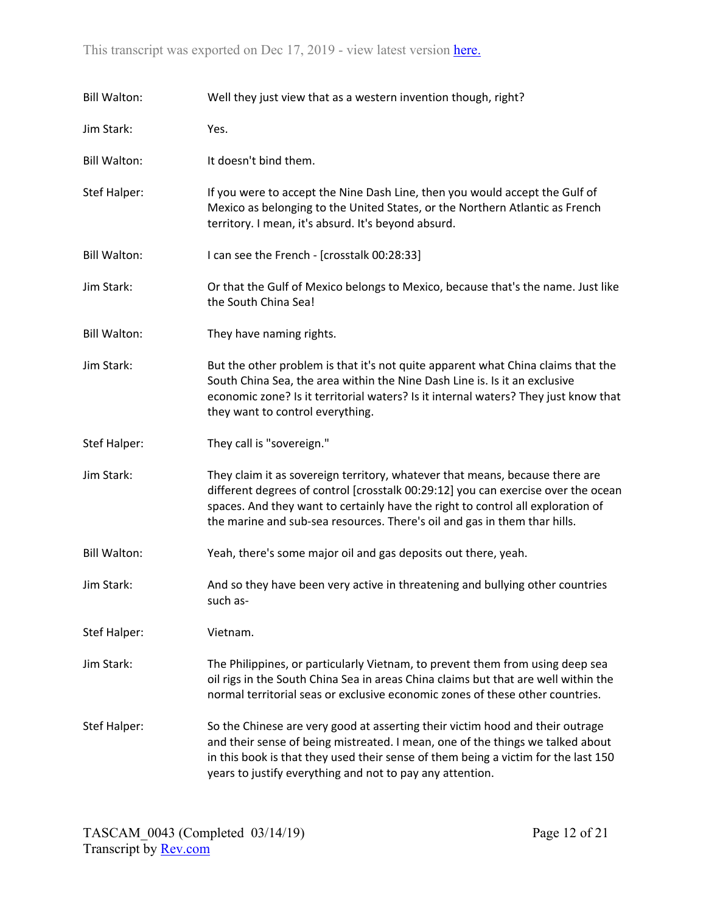| <b>Bill Walton:</b> | Well they just view that as a western invention though, right?                                                                                                                                                                                                                                                                    |
|---------------------|-----------------------------------------------------------------------------------------------------------------------------------------------------------------------------------------------------------------------------------------------------------------------------------------------------------------------------------|
| Jim Stark:          | Yes.                                                                                                                                                                                                                                                                                                                              |
| <b>Bill Walton:</b> | It doesn't bind them.                                                                                                                                                                                                                                                                                                             |
| Stef Halper:        | If you were to accept the Nine Dash Line, then you would accept the Gulf of<br>Mexico as belonging to the United States, or the Northern Atlantic as French<br>territory. I mean, it's absurd. It's beyond absurd.                                                                                                                |
| <b>Bill Walton:</b> | I can see the French - [crosstalk 00:28:33]                                                                                                                                                                                                                                                                                       |
| Jim Stark:          | Or that the Gulf of Mexico belongs to Mexico, because that's the name. Just like<br>the South China Sea!                                                                                                                                                                                                                          |
| <b>Bill Walton:</b> | They have naming rights.                                                                                                                                                                                                                                                                                                          |
| Jim Stark:          | But the other problem is that it's not quite apparent what China claims that the<br>South China Sea, the area within the Nine Dash Line is. Is it an exclusive<br>economic zone? Is it territorial waters? Is it internal waters? They just know that<br>they want to control everything.                                         |
| Stef Halper:        | They call is "sovereign."                                                                                                                                                                                                                                                                                                         |
| Jim Stark:          | They claim it as sovereign territory, whatever that means, because there are<br>different degrees of control [crosstalk 00:29:12] you can exercise over the ocean<br>spaces. And they want to certainly have the right to control all exploration of<br>the marine and sub-sea resources. There's oil and gas in them thar hills. |
| <b>Bill Walton:</b> | Yeah, there's some major oil and gas deposits out there, yeah.                                                                                                                                                                                                                                                                    |
| Jim Stark:          | And so they have been very active in threatening and bullying other countries<br>such as-                                                                                                                                                                                                                                         |
| Stef Halper:        | Vietnam.                                                                                                                                                                                                                                                                                                                          |
| Jim Stark:          | The Philippines, or particularly Vietnam, to prevent them from using deep sea<br>oil rigs in the South China Sea in areas China claims but that are well within the<br>normal territorial seas or exclusive economic zones of these other countries.                                                                              |
| Stef Halper:        | So the Chinese are very good at asserting their victim hood and their outrage<br>and their sense of being mistreated. I mean, one of the things we talked about<br>in this book is that they used their sense of them being a victim for the last 150<br>years to justify everything and not to pay any attention.                |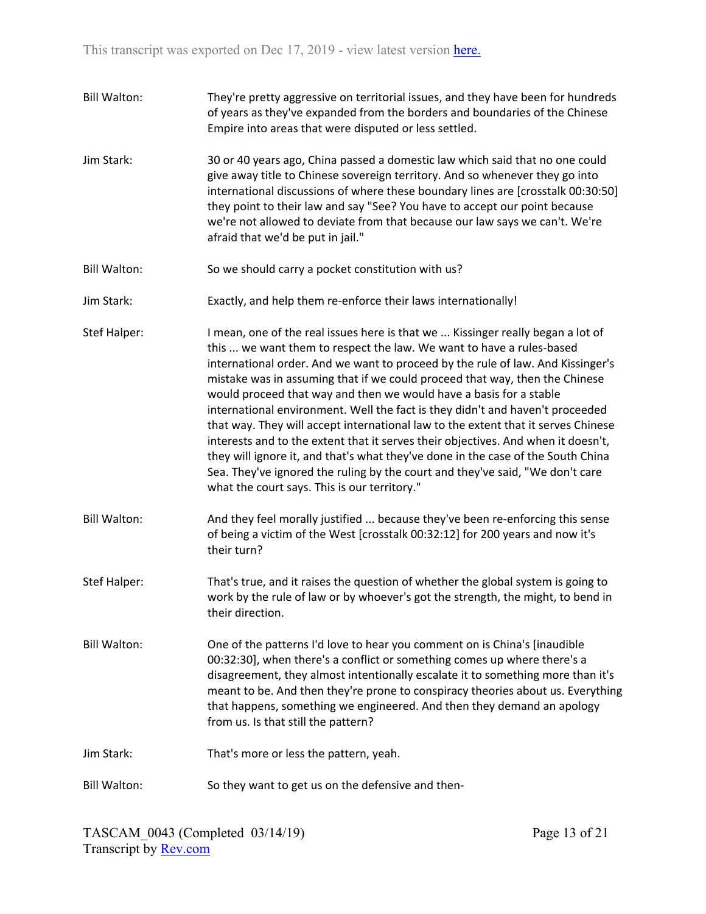| <b>Bill Walton:</b> | They're pretty aggressive on territorial issues, and they have been for hundreds<br>of years as they've expanded from the borders and boundaries of the Chinese<br>Empire into areas that were disputed or less settled.                                                                                                                                                                                                                                                                                                                                                                                                                                                                                                                                                                                                                                                        |
|---------------------|---------------------------------------------------------------------------------------------------------------------------------------------------------------------------------------------------------------------------------------------------------------------------------------------------------------------------------------------------------------------------------------------------------------------------------------------------------------------------------------------------------------------------------------------------------------------------------------------------------------------------------------------------------------------------------------------------------------------------------------------------------------------------------------------------------------------------------------------------------------------------------|
| Jim Stark:          | 30 or 40 years ago, China passed a domestic law which said that no one could<br>give away title to Chinese sovereign territory. And so whenever they go into<br>international discussions of where these boundary lines are [crosstalk 00:30:50]<br>they point to their law and say "See? You have to accept our point because<br>we're not allowed to deviate from that because our law says we can't. We're<br>afraid that we'd be put in jail."                                                                                                                                                                                                                                                                                                                                                                                                                              |
| <b>Bill Walton:</b> | So we should carry a pocket constitution with us?                                                                                                                                                                                                                                                                                                                                                                                                                                                                                                                                                                                                                                                                                                                                                                                                                               |
| Jim Stark:          | Exactly, and help them re-enforce their laws internationally!                                                                                                                                                                                                                                                                                                                                                                                                                                                                                                                                                                                                                                                                                                                                                                                                                   |
| Stef Halper:        | I mean, one of the real issues here is that we  Kissinger really began a lot of<br>this  we want them to respect the law. We want to have a rules-based<br>international order. And we want to proceed by the rule of law. And Kissinger's<br>mistake was in assuming that if we could proceed that way, then the Chinese<br>would proceed that way and then we would have a basis for a stable<br>international environment. Well the fact is they didn't and haven't proceeded<br>that way. They will accept international law to the extent that it serves Chinese<br>interests and to the extent that it serves their objectives. And when it doesn't,<br>they will ignore it, and that's what they've done in the case of the South China<br>Sea. They've ignored the ruling by the court and they've said, "We don't care<br>what the court says. This is our territory." |
| <b>Bill Walton:</b> | And they feel morally justified  because they've been re-enforcing this sense<br>of being a victim of the West [crosstalk 00:32:12] for 200 years and now it's<br>their turn?                                                                                                                                                                                                                                                                                                                                                                                                                                                                                                                                                                                                                                                                                                   |
| <b>Stef Halper:</b> | That's true, and it raises the question of whether the global system is going to<br>work by the rule of law or by whoever's got the strength, the might, to bend in<br>their direction.                                                                                                                                                                                                                                                                                                                                                                                                                                                                                                                                                                                                                                                                                         |
| <b>Bill Walton:</b> | One of the patterns I'd love to hear you comment on is China's [inaudible]<br>00:32:30], when there's a conflict or something comes up where there's a<br>disagreement, they almost intentionally escalate it to something more than it's<br>meant to be. And then they're prone to conspiracy theories about us. Everything<br>that happens, something we engineered. And then they demand an apology<br>from us. Is that still the pattern?                                                                                                                                                                                                                                                                                                                                                                                                                                   |
| Jim Stark:          | That's more or less the pattern, yeah.                                                                                                                                                                                                                                                                                                                                                                                                                                                                                                                                                                                                                                                                                                                                                                                                                                          |
| <b>Bill Walton:</b> | So they want to get us on the defensive and then-                                                                                                                                                                                                                                                                                                                                                                                                                                                                                                                                                                                                                                                                                                                                                                                                                               |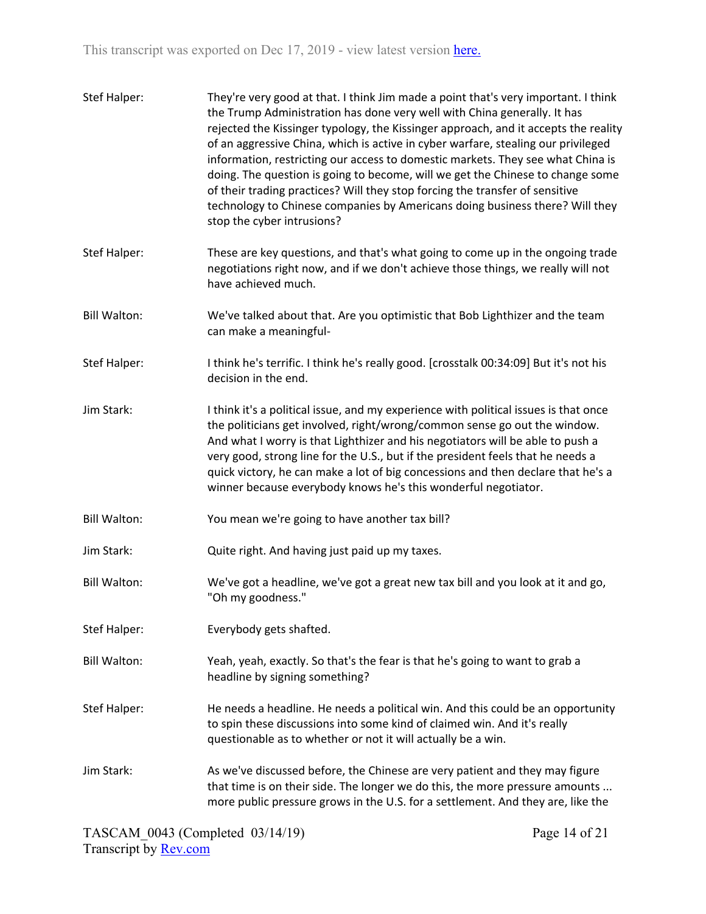| Stef Halper:        | They're very good at that. I think Jim made a point that's very important. I think<br>the Trump Administration has done very well with China generally. It has<br>rejected the Kissinger typology, the Kissinger approach, and it accepts the reality<br>of an aggressive China, which is active in cyber warfare, stealing our privileged<br>information, restricting our access to domestic markets. They see what China is<br>doing. The question is going to become, will we get the Chinese to change some<br>of their trading practices? Will they stop forcing the transfer of sensitive<br>technology to Chinese companies by Americans doing business there? Will they<br>stop the cyber intrusions? |
|---------------------|---------------------------------------------------------------------------------------------------------------------------------------------------------------------------------------------------------------------------------------------------------------------------------------------------------------------------------------------------------------------------------------------------------------------------------------------------------------------------------------------------------------------------------------------------------------------------------------------------------------------------------------------------------------------------------------------------------------|
| Stef Halper:        | These are key questions, and that's what going to come up in the ongoing trade<br>negotiations right now, and if we don't achieve those things, we really will not<br>have achieved much.                                                                                                                                                                                                                                                                                                                                                                                                                                                                                                                     |
| <b>Bill Walton:</b> | We've talked about that. Are you optimistic that Bob Lighthizer and the team<br>can make a meaningful-                                                                                                                                                                                                                                                                                                                                                                                                                                                                                                                                                                                                        |
| Stef Halper:        | I think he's terrific. I think he's really good. [crosstalk 00:34:09] But it's not his<br>decision in the end.                                                                                                                                                                                                                                                                                                                                                                                                                                                                                                                                                                                                |
| Jim Stark:          | I think it's a political issue, and my experience with political issues is that once<br>the politicians get involved, right/wrong/common sense go out the window.<br>And what I worry is that Lighthizer and his negotiators will be able to push a<br>very good, strong line for the U.S., but if the president feels that he needs a<br>quick victory, he can make a lot of big concessions and then declare that he's a<br>winner because everybody knows he's this wonderful negotiator.                                                                                                                                                                                                                  |
| <b>Bill Walton:</b> | You mean we're going to have another tax bill?                                                                                                                                                                                                                                                                                                                                                                                                                                                                                                                                                                                                                                                                |
| Jim Stark:          | Quite right. And having just paid up my taxes.                                                                                                                                                                                                                                                                                                                                                                                                                                                                                                                                                                                                                                                                |
| <b>Bill Walton:</b> | We've got a headline, we've got a great new tax bill and you look at it and go,<br>"Oh my goodness."                                                                                                                                                                                                                                                                                                                                                                                                                                                                                                                                                                                                          |
| Stef Halper:        | Everybody gets shafted.                                                                                                                                                                                                                                                                                                                                                                                                                                                                                                                                                                                                                                                                                       |
| <b>Bill Walton:</b> | Yeah, yeah, exactly. So that's the fear is that he's going to want to grab a<br>headline by signing something?                                                                                                                                                                                                                                                                                                                                                                                                                                                                                                                                                                                                |
| <b>Stef Halper:</b> | He needs a headline. He needs a political win. And this could be an opportunity<br>to spin these discussions into some kind of claimed win. And it's really<br>questionable as to whether or not it will actually be a win.                                                                                                                                                                                                                                                                                                                                                                                                                                                                                   |
| Jim Stark:          | As we've discussed before, the Chinese are very patient and they may figure<br>that time is on their side. The longer we do this, the more pressure amounts<br>more public pressure grows in the U.S. for a settlement. And they are, like the                                                                                                                                                                                                                                                                                                                                                                                                                                                                |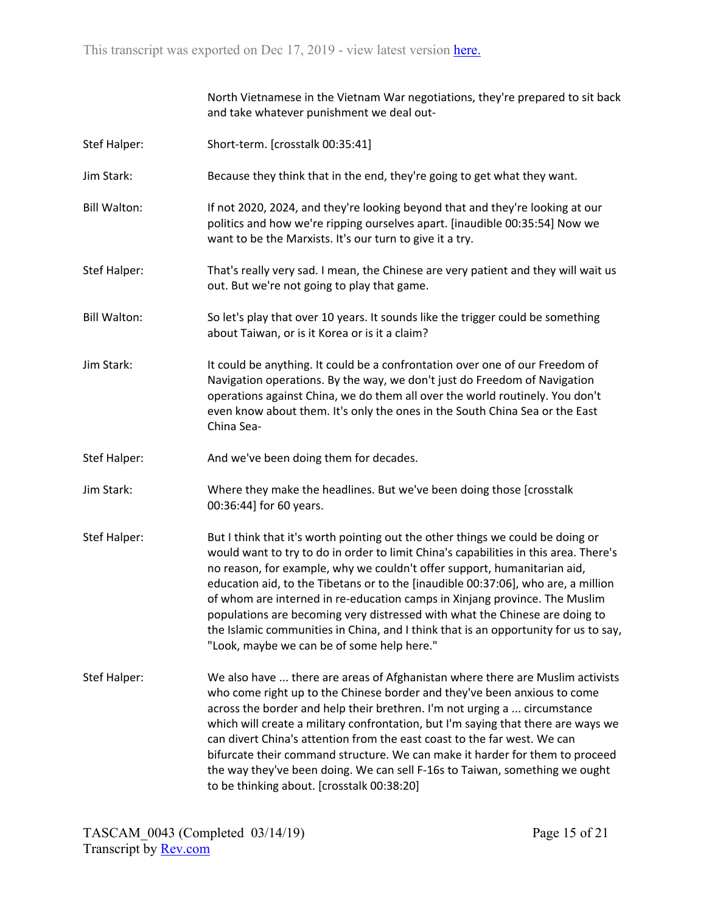|                     | North Vietnamese in the Vietnam War negotiations, they're prepared to sit back<br>and take whatever punishment we deal out-                                                                                                                                                                                                                                                                                                                                                                                                                                                                                                               |
|---------------------|-------------------------------------------------------------------------------------------------------------------------------------------------------------------------------------------------------------------------------------------------------------------------------------------------------------------------------------------------------------------------------------------------------------------------------------------------------------------------------------------------------------------------------------------------------------------------------------------------------------------------------------------|
| Stef Halper:        | Short-term. [crosstalk 00:35:41]                                                                                                                                                                                                                                                                                                                                                                                                                                                                                                                                                                                                          |
| Jim Stark:          | Because they think that in the end, they're going to get what they want.                                                                                                                                                                                                                                                                                                                                                                                                                                                                                                                                                                  |
| <b>Bill Walton:</b> | If not 2020, 2024, and they're looking beyond that and they're looking at our<br>politics and how we're ripping ourselves apart. [inaudible 00:35:54] Now we<br>want to be the Marxists. It's our turn to give it a try.                                                                                                                                                                                                                                                                                                                                                                                                                  |
| Stef Halper:        | That's really very sad. I mean, the Chinese are very patient and they will wait us<br>out. But we're not going to play that game.                                                                                                                                                                                                                                                                                                                                                                                                                                                                                                         |
| <b>Bill Walton:</b> | So let's play that over 10 years. It sounds like the trigger could be something<br>about Taiwan, or is it Korea or is it a claim?                                                                                                                                                                                                                                                                                                                                                                                                                                                                                                         |
| Jim Stark:          | It could be anything. It could be a confrontation over one of our Freedom of<br>Navigation operations. By the way, we don't just do Freedom of Navigation<br>operations against China, we do them all over the world routinely. You don't<br>even know about them. It's only the ones in the South China Sea or the East<br>China Sea-                                                                                                                                                                                                                                                                                                    |
| Stef Halper:        | And we've been doing them for decades.                                                                                                                                                                                                                                                                                                                                                                                                                                                                                                                                                                                                    |
| Jim Stark:          | Where they make the headlines. But we've been doing those [crosstalk]<br>00:36:44] for 60 years.                                                                                                                                                                                                                                                                                                                                                                                                                                                                                                                                          |
| Stef Halper:        | But I think that it's worth pointing out the other things we could be doing or<br>would want to try to do in order to limit China's capabilities in this area. There's<br>no reason, for example, why we couldn't offer support, humanitarian aid,<br>education aid, to the Tibetans or to the [inaudible 00:37:06], who are, a million<br>of whom are interned in re-education camps in Xinjang province. The Muslim<br>populations are becoming very distressed with what the Chinese are doing to<br>the Islamic communities in China, and I think that is an opportunity for us to say,<br>"Look, maybe we can be of some help here." |
| Stef Halper:        | We also have  there are areas of Afghanistan where there are Muslim activists<br>who come right up to the Chinese border and they've been anxious to come<br>across the border and help their brethren. I'm not urging a  circumstance<br>which will create a military confrontation, but I'm saying that there are ways we<br>can divert China's attention from the east coast to the far west. We can<br>bifurcate their command structure. We can make it harder for them to proceed<br>the way they've been doing. We can sell F-16s to Taiwan, something we ought<br>to be thinking about. [crosstalk 00:38:20]                      |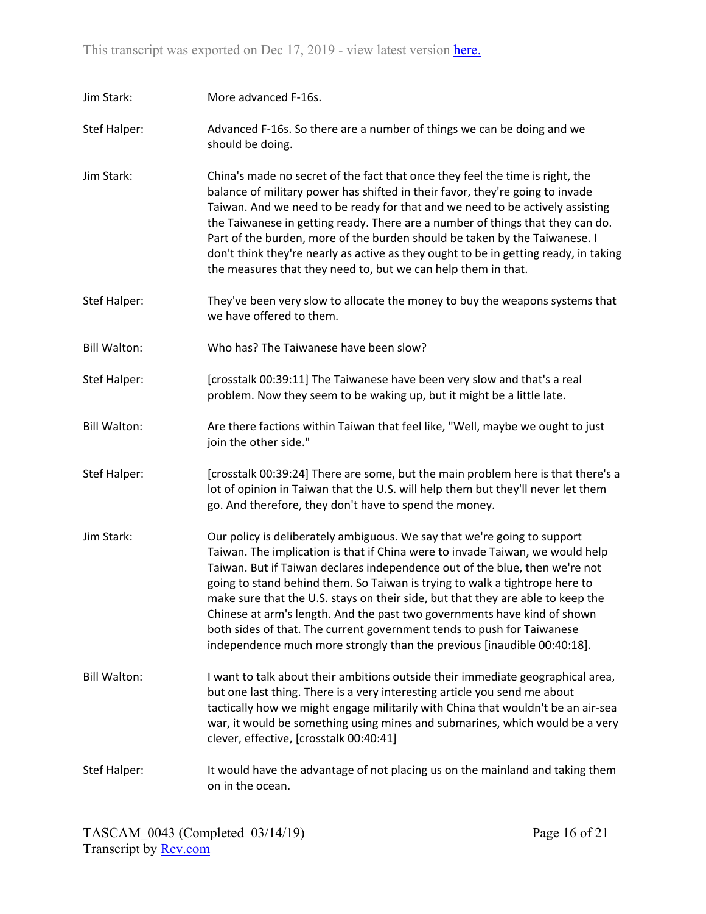| Jim Stark:          | More advanced F-16s.                                                                                                                                                                                                                                                                                                                                                                                                                                                                                                                                                                                                                        |
|---------------------|---------------------------------------------------------------------------------------------------------------------------------------------------------------------------------------------------------------------------------------------------------------------------------------------------------------------------------------------------------------------------------------------------------------------------------------------------------------------------------------------------------------------------------------------------------------------------------------------------------------------------------------------|
| Stef Halper:        | Advanced F-16s. So there are a number of things we can be doing and we<br>should be doing.                                                                                                                                                                                                                                                                                                                                                                                                                                                                                                                                                  |
| Jim Stark:          | China's made no secret of the fact that once they feel the time is right, the<br>balance of military power has shifted in their favor, they're going to invade<br>Taiwan. And we need to be ready for that and we need to be actively assisting<br>the Taiwanese in getting ready. There are a number of things that they can do.<br>Part of the burden, more of the burden should be taken by the Taiwanese. I<br>don't think they're nearly as active as they ought to be in getting ready, in taking<br>the measures that they need to, but we can help them in that.                                                                    |
| Stef Halper:        | They've been very slow to allocate the money to buy the weapons systems that<br>we have offered to them.                                                                                                                                                                                                                                                                                                                                                                                                                                                                                                                                    |
| <b>Bill Walton:</b> | Who has? The Taiwanese have been slow?                                                                                                                                                                                                                                                                                                                                                                                                                                                                                                                                                                                                      |
| <b>Stef Halper:</b> | [crosstalk 00:39:11] The Taiwanese have been very slow and that's a real<br>problem. Now they seem to be waking up, but it might be a little late.                                                                                                                                                                                                                                                                                                                                                                                                                                                                                          |
| <b>Bill Walton:</b> | Are there factions within Taiwan that feel like, "Well, maybe we ought to just<br>join the other side."                                                                                                                                                                                                                                                                                                                                                                                                                                                                                                                                     |
| <b>Stef Halper:</b> | [crosstalk 00:39:24] There are some, but the main problem here is that there's a<br>lot of opinion in Taiwan that the U.S. will help them but they'll never let them<br>go. And therefore, they don't have to spend the money.                                                                                                                                                                                                                                                                                                                                                                                                              |
| Jim Stark:          | Our policy is deliberately ambiguous. We say that we're going to support<br>Taiwan. The implication is that if China were to invade Taiwan, we would help<br>Taiwan. But if Taiwan declares independence out of the blue, then we're not<br>going to stand behind them. So Taiwan is trying to walk a tightrope here to<br>make sure that the U.S. stays on their side, but that they are able to keep the<br>Chinese at arm's length. And the past two governments have kind of shown<br>both sides of that. The current government tends to push for Taiwanese<br>independence much more strongly than the previous [inaudible 00:40:18]. |
| <b>Bill Walton:</b> | I want to talk about their ambitions outside their immediate geographical area,<br>but one last thing. There is a very interesting article you send me about<br>tactically how we might engage militarily with China that wouldn't be an air-sea<br>war, it would be something using mines and submarines, which would be a very<br>clever, effective, [crosstalk 00:40:41]                                                                                                                                                                                                                                                                 |
| <b>Stef Halper:</b> | It would have the advantage of not placing us on the mainland and taking them<br>on in the ocean.                                                                                                                                                                                                                                                                                                                                                                                                                                                                                                                                           |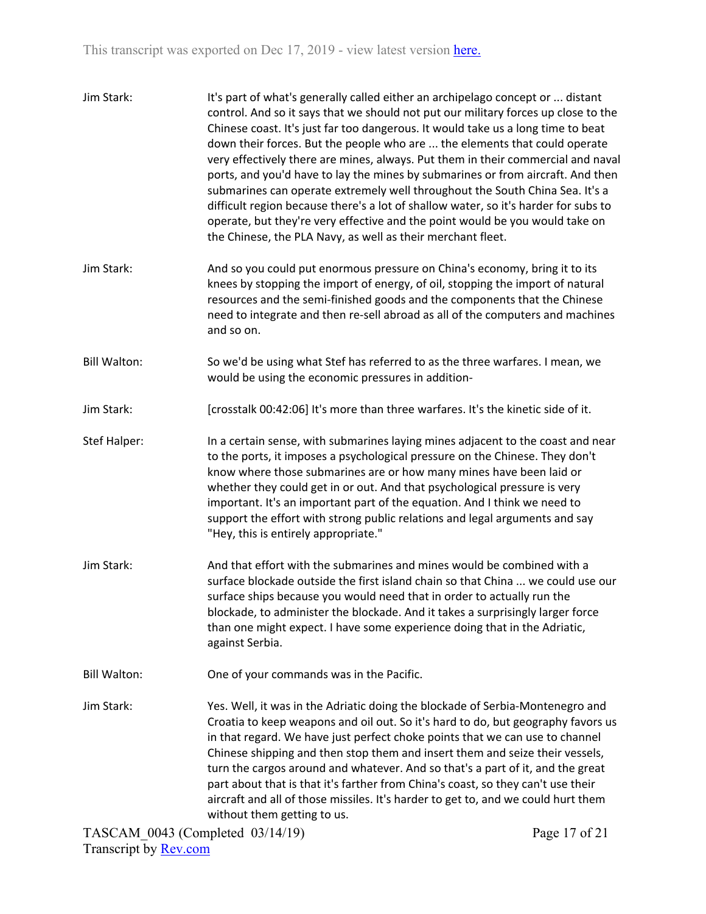| Jim Stark:          | It's part of what's generally called either an archipelago concept or  distant<br>control. And so it says that we should not put our military forces up close to the<br>Chinese coast. It's just far too dangerous. It would take us a long time to beat<br>down their forces. But the people who are  the elements that could operate<br>very effectively there are mines, always. Put them in their commercial and naval<br>ports, and you'd have to lay the mines by submarines or from aircraft. And then<br>submarines can operate extremely well throughout the South China Sea. It's a<br>difficult region because there's a lot of shallow water, so it's harder for subs to<br>operate, but they're very effective and the point would be you would take on<br>the Chinese, the PLA Navy, as well as their merchant fleet. |
|---------------------|-------------------------------------------------------------------------------------------------------------------------------------------------------------------------------------------------------------------------------------------------------------------------------------------------------------------------------------------------------------------------------------------------------------------------------------------------------------------------------------------------------------------------------------------------------------------------------------------------------------------------------------------------------------------------------------------------------------------------------------------------------------------------------------------------------------------------------------|
| Jim Stark:          | And so you could put enormous pressure on China's economy, bring it to its<br>knees by stopping the import of energy, of oil, stopping the import of natural<br>resources and the semi-finished goods and the components that the Chinese<br>need to integrate and then re-sell abroad as all of the computers and machines<br>and so on.                                                                                                                                                                                                                                                                                                                                                                                                                                                                                           |
| <b>Bill Walton:</b> | So we'd be using what Stef has referred to as the three warfares. I mean, we<br>would be using the economic pressures in addition-                                                                                                                                                                                                                                                                                                                                                                                                                                                                                                                                                                                                                                                                                                  |
| Jim Stark:          | [crosstalk 00:42:06] It's more than three warfares. It's the kinetic side of it.                                                                                                                                                                                                                                                                                                                                                                                                                                                                                                                                                                                                                                                                                                                                                    |
| <b>Stef Halper:</b> | In a certain sense, with submarines laying mines adjacent to the coast and near<br>to the ports, it imposes a psychological pressure on the Chinese. They don't<br>know where those submarines are or how many mines have been laid or<br>whether they could get in or out. And that psychological pressure is very<br>important. It's an important part of the equation. And I think we need to<br>support the effort with strong public relations and legal arguments and say<br>"Hey, this is entirely appropriate."                                                                                                                                                                                                                                                                                                             |
| Jim Stark:          | And that effort with the submarines and mines would be combined with a<br>surface blockade outside the first island chain so that China  we could use our<br>surface ships because you would need that in order to actually run the<br>blockade, to administer the blockade. And it takes a surprisingly larger force<br>than one might expect. I have some experience doing that in the Adriatic,<br>against Serbia.                                                                                                                                                                                                                                                                                                                                                                                                               |
| <b>Bill Walton:</b> | One of your commands was in the Pacific.                                                                                                                                                                                                                                                                                                                                                                                                                                                                                                                                                                                                                                                                                                                                                                                            |
| Jim Stark:          | Yes. Well, it was in the Adriatic doing the blockade of Serbia-Montenegro and<br>Croatia to keep weapons and oil out. So it's hard to do, but geography favors us<br>in that regard. We have just perfect choke points that we can use to channel<br>Chinese shipping and then stop them and insert them and seize their vessels,<br>turn the cargos around and whatever. And so that's a part of it, and the great<br>part about that is that it's farther from China's coast, so they can't use their<br>aircraft and all of those missiles. It's harder to get to, and we could hurt them<br>without them getting to us.                                                                                                                                                                                                         |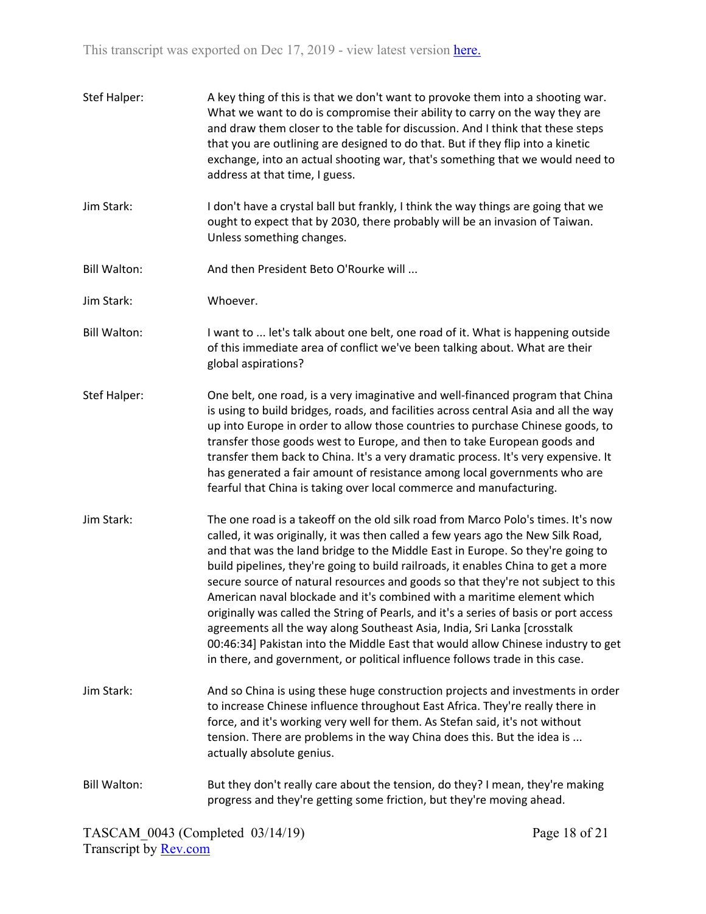| Stef Halper:        | A key thing of this is that we don't want to provoke them into a shooting war.<br>What we want to do is compromise their ability to carry on the way they are<br>and draw them closer to the table for discussion. And I think that these steps<br>that you are outlining are designed to do that. But if they flip into a kinetic<br>exchange, into an actual shooting war, that's something that we would need to<br>address at that time, I guess.                                                                                                                                                                                                                                                                                                                                                                                               |
|---------------------|-----------------------------------------------------------------------------------------------------------------------------------------------------------------------------------------------------------------------------------------------------------------------------------------------------------------------------------------------------------------------------------------------------------------------------------------------------------------------------------------------------------------------------------------------------------------------------------------------------------------------------------------------------------------------------------------------------------------------------------------------------------------------------------------------------------------------------------------------------|
| Jim Stark:          | I don't have a crystal ball but frankly, I think the way things are going that we<br>ought to expect that by 2030, there probably will be an invasion of Taiwan.<br>Unless something changes.                                                                                                                                                                                                                                                                                                                                                                                                                                                                                                                                                                                                                                                       |
| <b>Bill Walton:</b> | And then President Beto O'Rourke will                                                                                                                                                                                                                                                                                                                                                                                                                                                                                                                                                                                                                                                                                                                                                                                                               |
| Jim Stark:          | Whoever.                                                                                                                                                                                                                                                                                                                                                                                                                                                                                                                                                                                                                                                                                                                                                                                                                                            |
| <b>Bill Walton:</b> | I want to  let's talk about one belt, one road of it. What is happening outside<br>of this immediate area of conflict we've been talking about. What are their<br>global aspirations?                                                                                                                                                                                                                                                                                                                                                                                                                                                                                                                                                                                                                                                               |
| Stef Halper:        | One belt, one road, is a very imaginative and well-financed program that China<br>is using to build bridges, roads, and facilities across central Asia and all the way<br>up into Europe in order to allow those countries to purchase Chinese goods, to<br>transfer those goods west to Europe, and then to take European goods and<br>transfer them back to China. It's a very dramatic process. It's very expensive. It<br>has generated a fair amount of resistance among local governments who are<br>fearful that China is taking over local commerce and manufacturing.                                                                                                                                                                                                                                                                      |
| Jim Stark:          | The one road is a takeoff on the old silk road from Marco Polo's times. It's now<br>called, it was originally, it was then called a few years ago the New Silk Road,<br>and that was the land bridge to the Middle East in Europe. So they're going to<br>build pipelines, they're going to build railroads, it enables China to get a more<br>secure source of natural resources and goods so that they're not subject to this<br>American naval blockade and it's combined with a maritime element which<br>originally was called the String of Pearls, and it's a series of basis or port access<br>agreements all the way along Southeast Asia, India, Sri Lanka [crosstalk<br>00:46:34] Pakistan into the Middle East that would allow Chinese industry to get<br>in there, and government, or political influence follows trade in this case. |
| Jim Stark:          | And so China is using these huge construction projects and investments in order<br>to increase Chinese influence throughout East Africa. They're really there in<br>force, and it's working very well for them. As Stefan said, it's not without<br>tension. There are problems in the way China does this. But the idea is<br>actually absolute genius.                                                                                                                                                                                                                                                                                                                                                                                                                                                                                            |
| <b>Bill Walton:</b> | But they don't really care about the tension, do they? I mean, they're making<br>progress and they're getting some friction, but they're moving ahead.                                                                                                                                                                                                                                                                                                                                                                                                                                                                                                                                                                                                                                                                                              |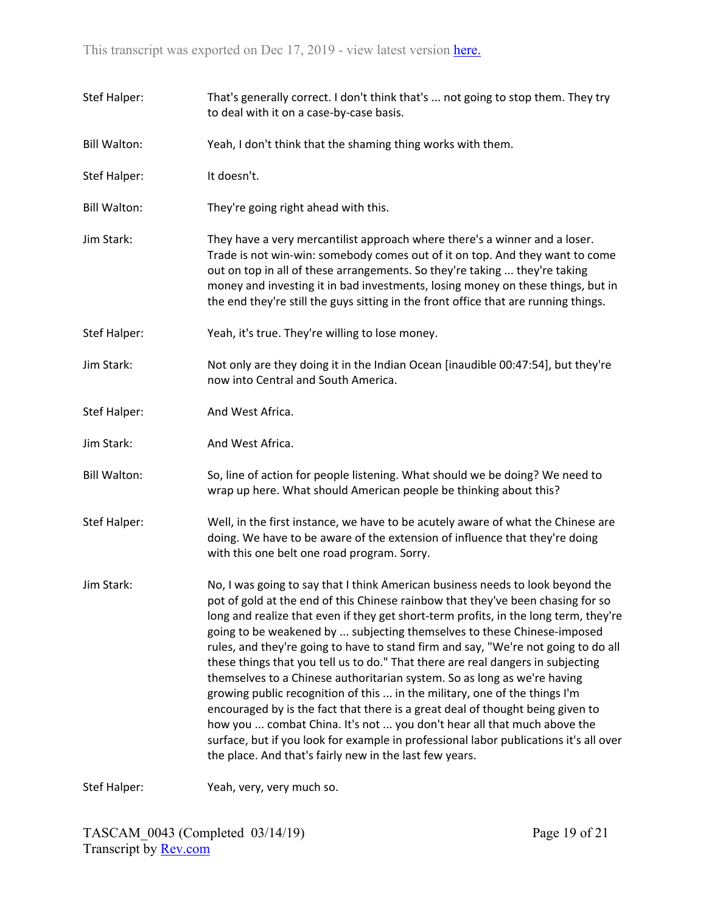Stef Halper: That's generally correct. I don't think that's ... not going to stop them. They try to deal with it on a case-by-case basis. Bill Walton: Yeah, I don't think that the shaming thing works with them. Stef Halper: It doesn't. Bill Walton: They're going right ahead with this. Jim Stark: They have a very mercantilist approach where there's a winner and a loser. Trade is not win-win: somebody comes out of it on top. And they want to come out on top in all of these arrangements. So they're taking ... they're taking money and investing it in bad investments, losing money on these things, but in the end they're still the guys sitting in the front office that are running things. Stef Halper: Yeah, it's true. They're willing to lose money. Jim Stark: Not only are they doing it in the Indian Ocean [inaudible 00:47:54], but they're now into Central and South America. Stef Halper: And West Africa. Jim Stark: And West Africa. Bill Walton: So, line of action for people listening. What should we be doing? We need to wrap up here. What should American people be thinking about this? Stef Halper: Well, in the first instance, we have to be acutely aware of what the Chinese are doing. We have to be aware of the extension of influence that they're doing with this one belt one road program. Sorry. Jim Stark: No, I was going to say that I think American business needs to look beyond the pot of gold at the end of this Chinese rainbow that they've been chasing for so long and realize that even if they get short-term profits, in the long term, they're going to be weakened by ... subjecting themselves to these Chinese-imposed rules, and they're going to have to stand firm and say, "We're not going to do all these things that you tell us to do." That there are real dangers in subjecting themselves to a Chinese authoritarian system. So as long as we're having growing public recognition of this ... in the military, one of the things I'm encouraged by is the fact that there is a great deal of thought being given to how you ... combat China. It's not ... you don't hear all that much above the surface, but if you look for example in professional labor publications it's all over the place. And that's fairly new in the last few years.

Stef Halper: Yeah, very, very much so.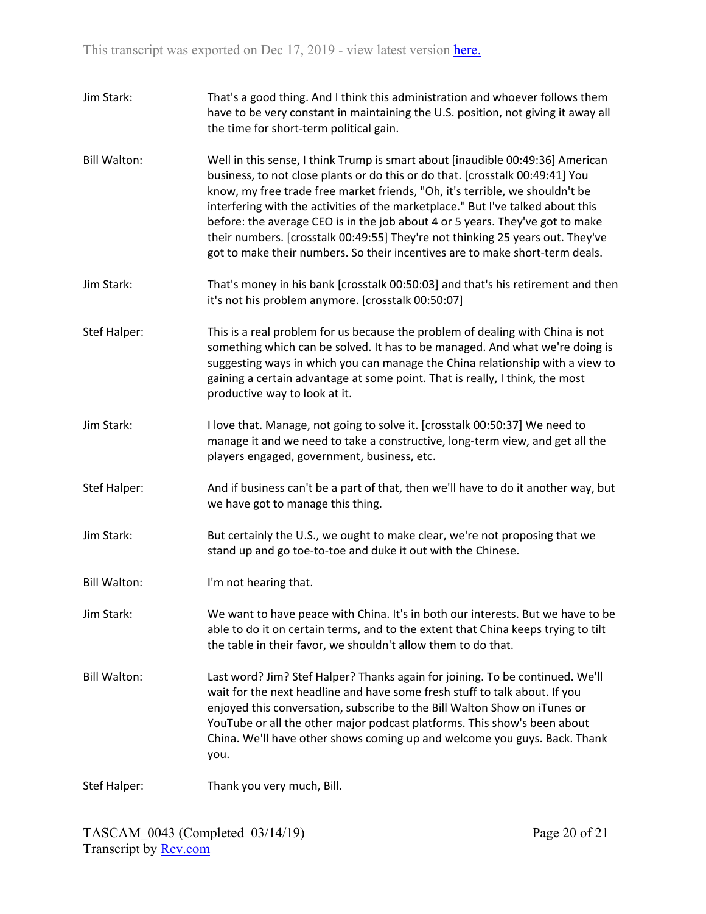| Jim Stark:          | That's a good thing. And I think this administration and whoever follows them<br>have to be very constant in maintaining the U.S. position, not giving it away all<br>the time for short-term political gain.                                                                                                                                                                                                                                                                                                                                                                         |
|---------------------|---------------------------------------------------------------------------------------------------------------------------------------------------------------------------------------------------------------------------------------------------------------------------------------------------------------------------------------------------------------------------------------------------------------------------------------------------------------------------------------------------------------------------------------------------------------------------------------|
| <b>Bill Walton:</b> | Well in this sense, I think Trump is smart about [inaudible 00:49:36] American<br>business, to not close plants or do this or do that. [crosstalk 00:49:41] You<br>know, my free trade free market friends, "Oh, it's terrible, we shouldn't be<br>interfering with the activities of the marketplace." But I've talked about this<br>before: the average CEO is in the job about 4 or 5 years. They've got to make<br>their numbers. [crosstalk 00:49:55] They're not thinking 25 years out. They've<br>got to make their numbers. So their incentives are to make short-term deals. |
| Jim Stark:          | That's money in his bank [crosstalk 00:50:03] and that's his retirement and then<br>it's not his problem anymore. [crosstalk 00:50:07]                                                                                                                                                                                                                                                                                                                                                                                                                                                |
| Stef Halper:        | This is a real problem for us because the problem of dealing with China is not<br>something which can be solved. It has to be managed. And what we're doing is<br>suggesting ways in which you can manage the China relationship with a view to<br>gaining a certain advantage at some point. That is really, I think, the most<br>productive way to look at it.                                                                                                                                                                                                                      |
| Jim Stark:          | I love that. Manage, not going to solve it. [crosstalk 00:50:37] We need to<br>manage it and we need to take a constructive, long-term view, and get all the<br>players engaged, government, business, etc.                                                                                                                                                                                                                                                                                                                                                                           |
| Stef Halper:        | And if business can't be a part of that, then we'll have to do it another way, but<br>we have got to manage this thing.                                                                                                                                                                                                                                                                                                                                                                                                                                                               |
| Jim Stark:          | But certainly the U.S., we ought to make clear, we're not proposing that we<br>stand up and go toe-to-toe and duke it out with the Chinese.                                                                                                                                                                                                                                                                                                                                                                                                                                           |
| <b>Bill Walton:</b> | I'm not hearing that.                                                                                                                                                                                                                                                                                                                                                                                                                                                                                                                                                                 |
| Jim Stark:          | We want to have peace with China. It's in both our interests. But we have to be<br>able to do it on certain terms, and to the extent that China keeps trying to tilt<br>the table in their favor, we shouldn't allow them to do that.                                                                                                                                                                                                                                                                                                                                                 |
| <b>Bill Walton:</b> | Last word? Jim? Stef Halper? Thanks again for joining. To be continued. We'll<br>wait for the next headline and have some fresh stuff to talk about. If you<br>enjoyed this conversation, subscribe to the Bill Walton Show on iTunes or<br>YouTube or all the other major podcast platforms. This show's been about<br>China. We'll have other shows coming up and welcome you guys. Back. Thank<br>you.                                                                                                                                                                             |
| Stef Halper:        | Thank you very much, Bill.                                                                                                                                                                                                                                                                                                                                                                                                                                                                                                                                                            |